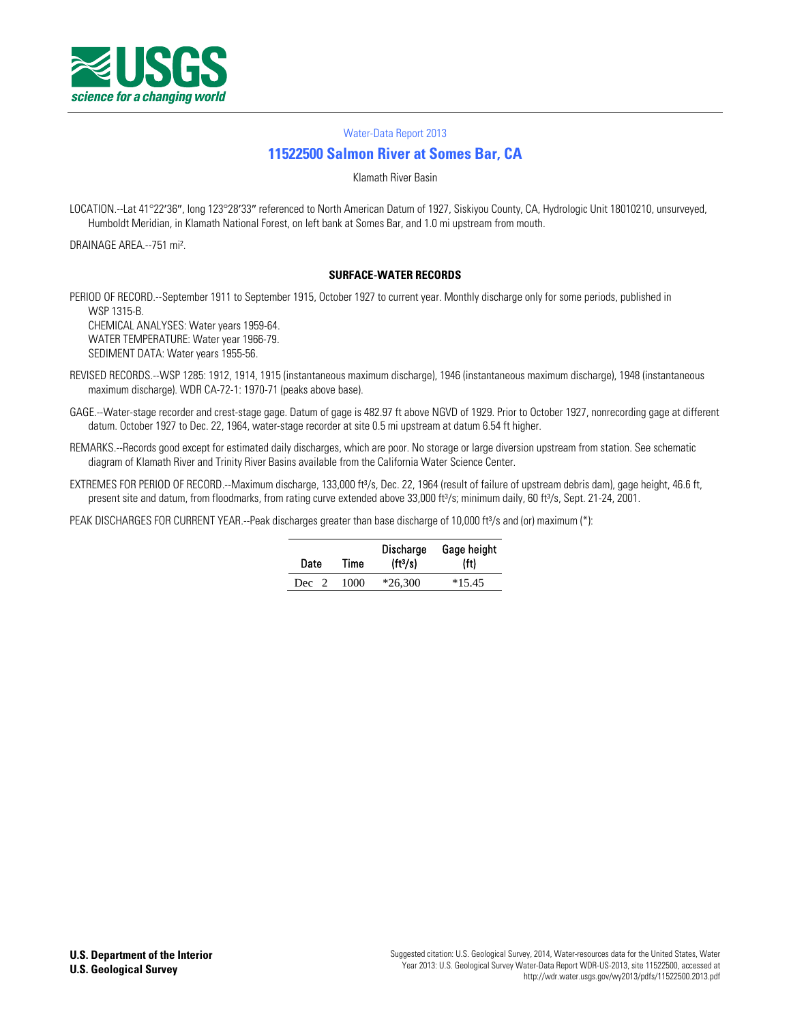

#### [Water-Data Report 2013](http://wdr.water.usgs.gov/)

# **[11522500 Salmon River at Somes Bar, CA](http://waterdata.usgs.gov/nwis/nwisman/?site_no=11522500)**

Klamath River Basin

LOCATION.--Lat 41°22′36″, long 123°28′33″ referenced to North American Datum of 1927, Siskiyou County, CA, Hydrologic Unit 18010210, unsurveyed, Humboldt Meridian, in Klamath National Forest, on left bank at Somes Bar, and 1.0 mi upstream from mouth.

DRAINAGE AREA.--751 mi².

#### **SURFACE-WATER RECORDS**

PERIOD OF RECORD.--September 1911 to September 1915, October 1927 to current year. Monthly discharge only for some periods, published in WSP 1315-B.

CHEMICAL ANALYSES: Water years 1959-64. WATER TEMPERATURE: Water year 1966-79. SEDIMENT DATA: Water years 1955-56.

- REVISED RECORDS.--WSP 1285: 1912, 1914, 1915 (instantaneous maximum discharge), 1946 (instantaneous maximum discharge), 1948 (instantaneous maximum discharge). WDR CA-72-1: 1970-71 (peaks above base).
- GAGE.--Water-stage recorder and crest-stage gage. Datum of gage is 482.97 ft above NGVD of 1929. Prior to October 1927, nonrecording gage at different datum. October 1927 to Dec. 22, 1964, water-stage recorder at site 0.5 mi upstream at datum 6.54 ft higher.
- REMARKS.--Records good except for estimated daily discharges, which are poor. No storage or large diversion upstream from station. See schematic diagram of Klamath River and Trinity River Basins available from the California Water Science Center.
- EXTREMES FOR PERIOD OF RECORD.--Maximum discharge, 133,000 ft<sup>3</sup>/s, Dec. 22, 1964 (result of failure of upstream debris dam), gage height, 46.6 ft, present site and datum, from floodmarks, from rating curve extended above 33,000 ft<sup>3</sup>/s; minimum daily, 60 ft<sup>3</sup>/s, Sept. 21-24, 2001.

PEAK DISCHARGES FOR CURRENT YEAR.--Peak discharges greater than base discharge of 10,000 ft<sup>3</sup>/s and (or) maximum (\*):

| Date  | Time | Discharge<br>(tt <sup>3</sup> /s) | Gage height<br>(ft) |  |  |  |
|-------|------|-----------------------------------|---------------------|--|--|--|
| Dec 2 | 1000 | $*26.300$                         | $*15.45$            |  |  |  |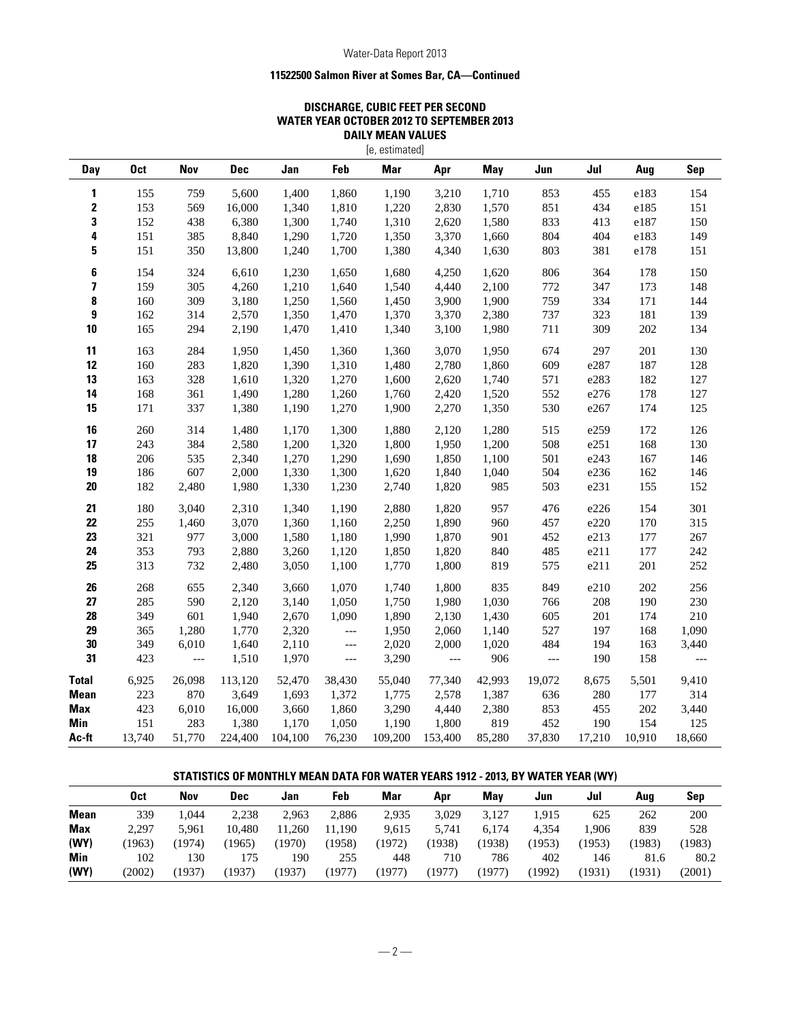## Water-Data Report 2013

## **11522500 Salmon River at Somes Bar, CA—Continued**

## **DISCHARGE, CUBIC FEET PER SECOND WATER YEAR OCTOBER 2012 TO SEPTEMBER 2013 DAILY MEAN VALUES**

| [e, estimated] |                 |            |            |         |        |            |                          |            |                        |        |        |            |
|----------------|-----------------|------------|------------|---------|--------|------------|--------------------------|------------|------------------------|--------|--------|------------|
| Day            | 0 <sub>ct</sub> | <b>Nov</b> | <b>Dec</b> | Jan     | Feb    | <b>Mar</b> | Apr                      | <b>May</b> | Jun                    | Jul    | Aug    | <b>Sep</b> |
| 1              | 155             | 759        | 5,600      | 1,400   | 1,860  | 1,190      | 3,210                    | 1,710      | 853                    | 455    | e183   | 154        |
| 2              | 153             | 569        | 16,000     | 1,340   | 1,810  | 1,220      | 2,830                    | 1,570      | 851                    | 434    | e185   | 151        |
| 3              | 152             | 438        | 6,380      | 1,300   | 1,740  | 1,310      | 2,620                    | 1,580      | 833                    | 413    | e187   | 150        |
| 4              | 151             | 385        | 8,840      | 1,290   | 1,720  | 1,350      | 3,370                    | 1,660      | 804                    | 404    | e183   | 149        |
| 5              | 151             | 350        | 13,800     | 1,240   | 1,700  | 1,380      | 4,340                    | 1,630      | 803                    | 381    | e178   | 151        |
| 6              | 154             | 324        | 6,610      | 1,230   | 1,650  | 1,680      | 4,250                    | 1,620      | 806                    | 364    | 178    | 150        |
| 7              | 159             | 305        | 4,260      | 1,210   | 1,640  | 1,540      | 4,440                    | 2,100      | 772                    | 347    | 173    | 148        |
| 8              | 160             | 309        | 3,180      | 1,250   | 1,560  | 1,450      | 3,900                    | 1,900      | 759                    | 334    | 171    | 144        |
| 9              | 162             | 314        | 2,570      | 1,350   | 1,470  | 1,370      | 3,370                    | 2,380      | 737                    | 323    | 181    | 139        |
| 10             | 165             | 294        | 2,190      | 1,470   | 1,410  | 1,340      | 3,100                    | 1,980      | 711                    | 309    | 202    | 134        |
| 11             | 163             | 284        | 1,950      | 1,450   | 1,360  | 1,360      | 3,070                    | 1,950      | 674                    | 297    | 201    | 130        |
| 12             | 160             | 283        | 1,820      | 1,390   | 1,310  | 1,480      | 2,780                    | 1,860      | 609                    | e287   | 187    | 128        |
| 13             | 163             | 328        | 1,610      | 1,320   | 1,270  | 1,600      | 2,620                    | 1,740      | 571                    | e283   | 182    | 127        |
| 14             | 168             | 361        | 1,490      | 1,280   | 1,260  | 1,760      | 2,420                    | 1,520      | 552                    | e276   | 178    | 127        |
| 15             | 171             | 337        | 1,380      | 1,190   | 1,270  | 1,900      | 2,270                    | 1,350      | 530                    | e267   | 174    | 125        |
| 16             | 260             | 314        | 1,480      | 1,170   | 1,300  | 1,880      | 2,120                    | 1,280      | 515                    | e259   | 172    | 126        |
| 17             | 243             | 384        | 2,580      | 1,200   | 1,320  | 1,800      | 1,950                    | 1,200      | 508                    | e251   | 168    | 130        |
| 18             | 206             | 535        | 2,340      | 1,270   | 1,290  | 1,690      | 1,850                    | 1,100      | 501                    | e243   | 167    | 146        |
| 19             | 186             | 607        | 2,000      | 1,330   | 1,300  | 1,620      | 1,840                    | 1,040      | 504                    | e236   | 162    | 146        |
| $20\,$         | 182             | 2,480      | 1,980      | 1,330   | 1,230  | 2,740      | 1,820                    | 985        | 503                    | e231   | 155    | 152        |
| 21             | 180             | 3,040      | 2,310      | 1,340   | 1,190  | 2,880      | 1,820                    | 957        | 476                    | e226   | 154    | 301        |
| 22             | 255             | 1,460      | 3,070      | 1,360   | 1,160  | 2,250      | 1,890                    | 960        | 457                    | e220   | 170    | 315        |
| 23             | 321             | 977        | 3,000      | 1,580   | 1,180  | 1,990      | 1,870                    | 901        | 452                    | e213   | 177    | 267        |
| 24             | 353             | 793        | 2,880      | 3,260   | 1,120  | 1,850      | 1,820                    | 840        | 485                    | e211   | 177    | 242        |
| 25             | 313             | 732        | 2,480      | 3,050   | 1,100  | 1,770      | 1,800                    | 819        | 575                    | e211   | 201    | 252        |
| 26             | 268             | 655        | 2,340      | 3,660   | 1,070  | 1,740      | 1,800                    | 835        | 849                    | e210   | 202    | 256        |
| 27             | 285             | 590        | 2,120      | 3,140   | 1,050  | 1,750      | 1,980                    | 1,030      | 766                    | 208    | 190    | 230        |
| 28             | 349             | 601        | 1,940      | 2,670   | 1,090  | 1,890      | 2,130                    | 1,430      | 605                    | 201    | 174    | 210        |
| 29             | 365             | 1,280      | 1,770      | 2,320   | $---$  | 1,950      | 2,060                    | 1,140      | 527                    | 197    | 168    | 1,090      |
| 30             | 349             | 6,010      | 1,640      | 2,110   | $---$  | 2,020      | 2,000                    | 1,020      | 484                    | 194    | 163    | 3,440      |
| 31             | 423             | $---$      | 1,510      | 1,970   | $---$  | 3,290      | $\overline{\phantom{a}}$ | 906        | $\scriptstyle{\cdots}$ | 190    | 158    | ---        |
| <b>Total</b>   | 6,925           | 26,098     | 113,120    | 52,470  | 38,430 | 55,040     | 77,340                   | 42,993     | 19,072                 | 8,675  | 5,501  | 9,410      |
| <b>Mean</b>    | 223             | 870        | 3,649      | 1,693   | 1,372  | 1,775      | 2,578                    | 1,387      | 636                    | 280    | 177    | 314        |
| <b>Max</b>     | 423             | 6,010      | 16,000     | 3,660   | 1,860  | 3,290      | 4,440                    | 2,380      | 853                    | 455    | 202    | 3,440      |
| Min            | 151             | 283        | 1,380      | 1,170   | 1,050  | 1,190      | 1,800                    | 819        | 452                    | 190    | 154    | 125        |
| Ac-ft          | 13,740          | 51,770     | 224,400    | 104,100 | 76,230 | 109,200    | 153,400                  | 85,280     | 37,830                 | 17,210 | 10,910 | 18,660     |

## **STATISTICS OF MONTHLY MEAN DATA FOR WATER YEARS 1912 - 2013, BY WATER YEAR (WY)**

|             | Oct    | Nov   | Dec    | Jan    | Feb    | Mar    | Apr   | Mav    | Jun    | Jul    | Aua    | Sep    |
|-------------|--------|-------|--------|--------|--------|--------|-------|--------|--------|--------|--------|--------|
| <b>Mean</b> | 339    | .044  | 2.238  | 2.963  | 2,886  | 2,935  | 3.029 | 3.127  | 1,915  | 625    | 262    | 200    |
| <b>Max</b>  | 2.297  | 5.961 | 10.480 | 11.260 | 11,190 | 9.615  | 5.741 | 6.174  | 4.354  | .906   | 839    | 528    |
| (WY)        | (1963  | 1974) | 1965)  | (1970) | (1958) | 1972)  | 1938) | (1938) | (1953) | (1953) | (1983) | 1983)  |
| Min         | 102    | '30   | !75    | 190    | 255    | 448    | 710   | 786    | 402    | 146    | 81.6   | 80.2   |
| (WY)        | (2002) | 1937) | (1937) | (1937) | (1977) | (1977) | 1977) | (1977) | (1992) | (1931) | (1931) | (2001) |